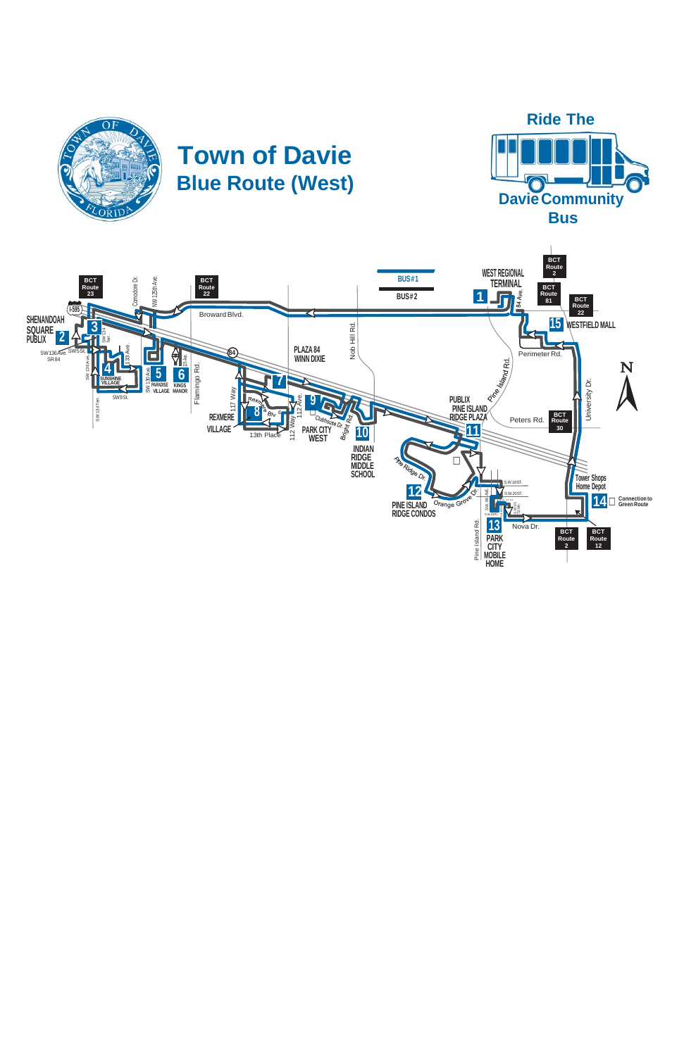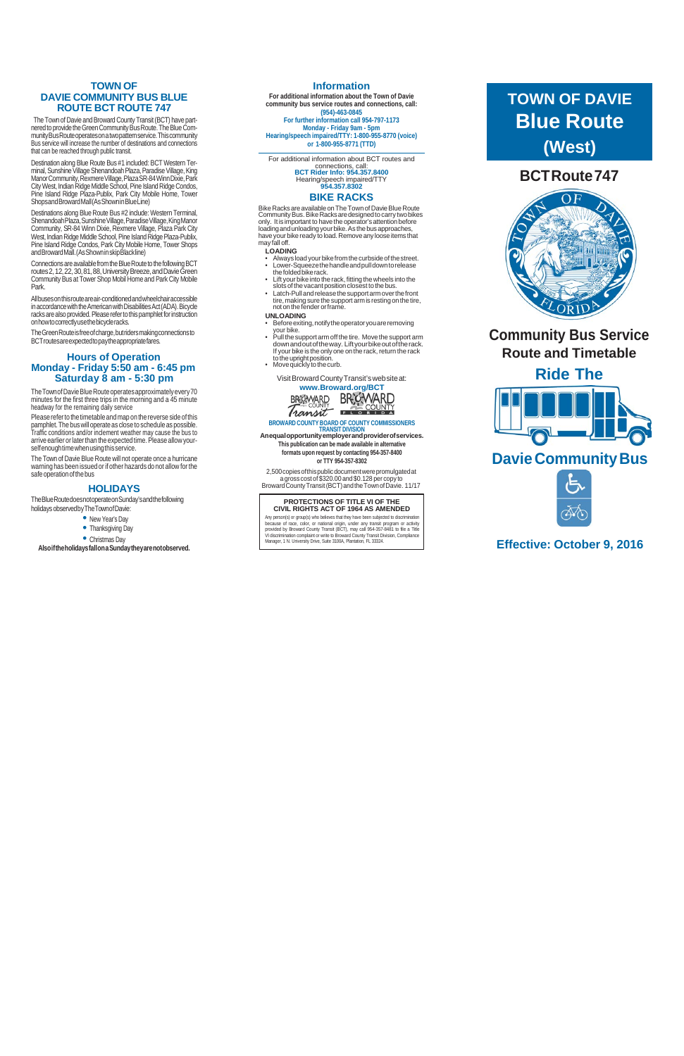## **TOWN OF DAVIE COMMUNITY BUS BLUE ROUTE BCT ROUTE 747**

The Town of Davie and Broward County Transit (BCT) have partnered to provide the Green Community Bus Route. The Blue CommunityBusRouteoperateson atwopatternservice.Thiscommunity Bus service will increase the number of destinations and connections that can be reached through public transit.

### **Information**

Destination along Blue Route Bus #1 included: BCT Western Terminal, Sunshine Village Shenandoah Plaza, Paradise Village, King Manor Community, Rexmere Village, Plaza SR-84 Winn Dixie, Park City West, Indian Ridge Middle School, Pine Island Ridge Condos, Pine Island Ridge Plaza-Publix, Park City Mobile Home, Tower ShopsandBrowardMall(AsShowninBlueLine)

**For additional information about the Town of Davie community bus service routes and connections, call: (954) -463-0845 For further information call 954-797-1173 Monday - Friday 9am - 5pm Hearing/speech impaired/TTY: 1 -800-955-8770 (voice) or 1 -800-955-8771 (TTD)**

Connections are available from the Blue Route to the following BCT routes 2, 12, 22, 30, 81, 88, University Breeze, and Davie Green Community Bus at Tower Shop Mobil Home and Park City Mobile Park.

The Town of Davie Blue Route operates approximately every 70 minutes for the first three trips in the morning and a 45 minute headway for the remaining daily service

Please refer to the timetable and map on the reverse side of this pamphlet. The bus will operate as close to schedule as possible. Traffic conditions and/or inclement weather may cause the bus to arrive earlier or later than the expected time. Please allow yourself enough time when using this service.

Destinations along Blue Route Bus #2 include: Western Terminal, Shenandoah Plaza, Sunshine Village, Paradise Village, King Manor Community, SR -84 Winn Dixie, Rexmere Village, Plaza Park City West, Indian Ridge Middle School, Pine Island Ridge Plaza-Publix, Pine Island Ridge Condos, Park City Mobile Home, Tower Shops andBrowardMall.(AsShowninskipBlackline)

The Town of Davie Blue Route will not operate once a hurricane warning has been issued or if other hazards do not allow forthe safe operation of the bus

TheBlueRoutedoesnotoperateonSunday'sandthefollowing holidays observedbyTheTownofDavie:<br>
• New Year's Day<br>
• Thanksgiving Day<br>
• Christmas Day

- 
- 
- 

Bike Racks are available on The Town of Davie Blue Route Community Bus. Bike Racks are designed to carry two bikes only. It is important to have the operator's attention before loading and unloading your bike. As the bus approaches, have your bike ready to load. Remove any loose items that may fall off.

Allbusesonthisrouteareair -conditionedandwheelchairaccessible in accordance with the American with Disabilities Act (ADA). Bicycle racks are also provided. Please refer to this pamphlet for instruction onhowtocorrectlyusethebicycleracks.

TheGreenRouteisfreeofcharge,butridersmakingconnectionsto BCTroutesareexpectedtopaytheappropriatefares.

## **Hours of Operation Monday - Friday 5:50 am - 6:45 pm Saturday 8 am - 5:30 pm**

## **HOLID AYS**

**Alsoiftheholidaysfallon aSundaytheyarenotobserved.**

For additional information about BCT routes and connections, call: **BCT Rider Info: 954.357.8400** Hearing/speech impaired/TTY **954.357.8302**

## **BIKE RACKS**

#### **LOADING**

- Always load your bike from the curbside of the street. • Lower-Squeezethehandleandpulldowntorelease
- thefoldedbikerack. • Lift your bike into the rack, fitting the wheels into the
- slots of the vacant position closest to the bus. • Latch -Pullandreleasethesupportarmoverthefront
- tire, making sure the support arm is resting on the tire, not on the fender or frame.
- **UNLOADING**
- Before exiting, notify the operator you are removing your bike.<br>Pull the support arm off the tire. Move the support arm
- Pull the support arm off the tire. Movethe support arm downandoutoftheway. Liftyourbikeoutoftherack. If your bike is the only one on the rack, return the rack to the upright position.
- Move quickly to the curb.

VisitBrowardCountyTransit'swebsiteat: **[www.Broward.org/BCT](http://www.broward.org/BCT)**



# **BROWARD COUNTY BOARD OF COUNTY COMMISSIONERS**

**TRANSIT DIVISION Anequalopportunityemployerandproviderofservices. This publication can be made available in alternative formats upon request by contacting 954 -357 -8400 or TTY 954 -357 -8302**

2,500copiesofthispublicdocumentwerepromulgatedat a gross costof\$320.00 and \$0.128 per copy to BrowardCountyTransit(BCT)andtheTownofDavie. 11/17

**PROTECTIONS OF TITLE VI OF THE CIVIL RIGHTS ACT OF 1964 AS AMENDED**

Any person(s) or group(s) who believes that they have been subjected to discrimination<br>because of race, color, or national origin, under any transit program or activity<br>provided by Broward County Transit (BCT), may call 95

# **BCTRoute747**



# **Community Bus Service Route and Timetable**

**Ride The**



# **Davie Community Bus**



## **Effective: October 9, 2016**

# **TOWN OF DAVIE Blue Route (West)**